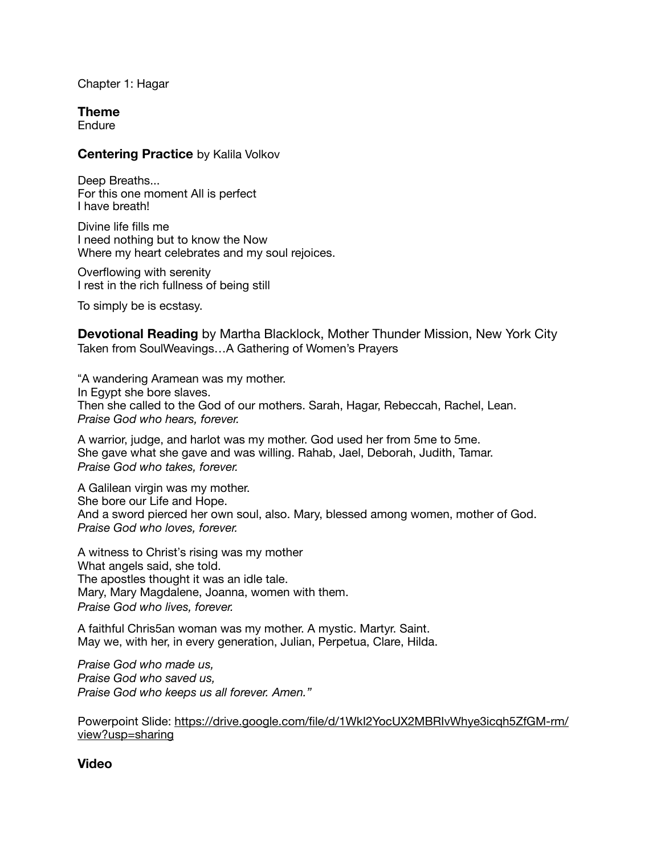Chapter 1: Hagar

**Theme** 

Endure

#### **Centering Practice** by Kalila Volkov

Deep Breaths... For this one moment All is perfect I have breath!

Divine life fills me I need nothing but to know the Now Where my heart celebrates and my soul rejoices.

Overflowing with serenity I rest in the rich fullness of being still

To simply be is ecstasy.

**Devotional Reading** by Martha Blacklock, Mother Thunder Mission, New York City Taken from SoulWeavings…A Gathering of Women's Prayers

"A wandering Aramean was my mother. In Egypt she bore slaves. Then she called to the God of our mothers. Sarah, Hagar, Rebeccah, Rachel, Lean. *Praise God who hears, forever.* 

A warrior, judge, and harlot was my mother. God used her from 5me to 5me. She gave what she gave and was willing. Rahab, Jael, Deborah, Judith, Tamar. *Praise God who takes, forever.* 

A Galilean virgin was my mother. She bore our Life and Hope. And a sword pierced her own soul, also. Mary, blessed among women, mother of God. *Praise God who loves, forever.* 

A witness to Christ"s rising was my mother What angels said, she told. The apostles thought it was an idle tale. Mary, Mary Magdalene, Joanna, women with them. *Praise God who lives, forever.* 

A faithful Chris5an woman was my mother. A mystic. Martyr. Saint. May we, with her, in every generation, Julian, Perpetua, Clare, Hilda.

*Praise God who made us, Praise God who saved us, Praise God who keeps us all forever. Amen."* 

Powerpoint Slide: [https://drive.google.com/file/d/1WkI2YocUX2MBRIvWhye3icqh5ZfGM-rm/](https://drive.google.com/file/d/1WkI2YocUX2MBRIvWhye3icqh5ZfGM-rm/view?usp=sharing) [view?usp=sharing](https://drive.google.com/file/d/1WkI2YocUX2MBRIvWhye3icqh5ZfGM-rm/view?usp=sharing)

**Video**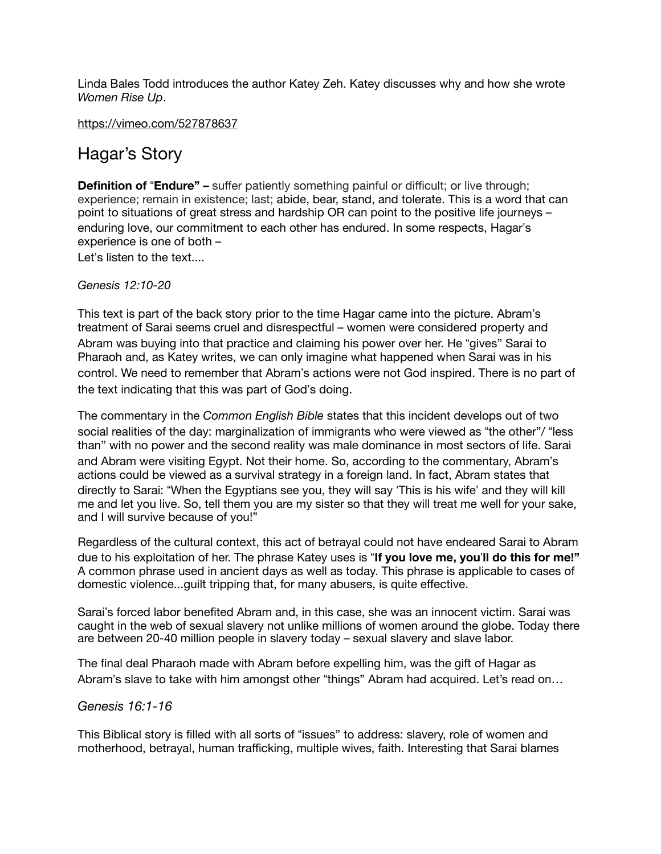Linda Bales Todd introduces the author Katey Zeh. Katey discusses why and how she wrote *Women Rise Up*.

<https://vimeo.com/527878637>

# Hagar's Story

**Definition of "Endure"** – suffer patiently something painful or difficult; or live through; experience; remain in existence; last; abide, bear, stand, and tolerate. This is a word that can point to situations of great stress and hardship OR can point to the positive life journeys – enduring love, our commitment to each other has endured. In some respects, Hagar"s experience is one of both –

Let's listen to the text....

## *Genesis 12:10-20*

This text is part of the back story prior to the time Hagar came into the picture. Abram"s treatment of Sarai seems cruel and disrespectful – women were considered property and Abram was buying into that practice and claiming his power over her. He "gives" Sarai to Pharaoh and, as Katey writes, we can only imagine what happened when Sarai was in his control. We need to remember that Abram"s actions were not God inspired. There is no part of the text indicating that this was part of God"s doing.

The commentary in the *Common English Bible* states that this incident develops out of two social realities of the day: marginalization of immigrants who were viewed as "the other"/ "less than" with no power and the second reality was male dominance in most sectors of life. Sarai and Abram were visiting Egypt. Not their home. So, according to the commentary, Abram"s actions could be viewed as a survival strategy in a foreign land. In fact, Abram states that directly to Sarai: "When the Egyptians see you, they will say 'This is his wife' and they will kill me and let you live. So, tell them you are my sister so that they will treat me well for your sake, and I will survive because of you!"

Regardless of the cultural context, this act of betrayal could not have endeared Sarai to Abram due to his exploitation of her. The phrase Katey uses is !**If you love me, you**"**ll do this for me!"** A common phrase used in ancient days as well as today. This phrase is applicable to cases of domestic violence...guilt tripping that, for many abusers, is quite effective.

Sarai"s forced labor benefited Abram and, in this case, she was an innocent victim. Sarai was caught in the web of sexual slavery not unlike millions of women around the globe. Today there are between 20-40 million people in slavery today – sexual slavery and slave labor.

The final deal Pharaoh made with Abram before expelling him, was the gift of Hagar as Abram's slave to take with him amongst other "things" Abram had acquired. Let's read on...

## *Genesis 16:1-16*

This Biblical story is filled with all sorts of "issues" to address: slavery, role of women and motherhood, betrayal, human trafficking, multiple wives, faith. Interesting that Sarai blames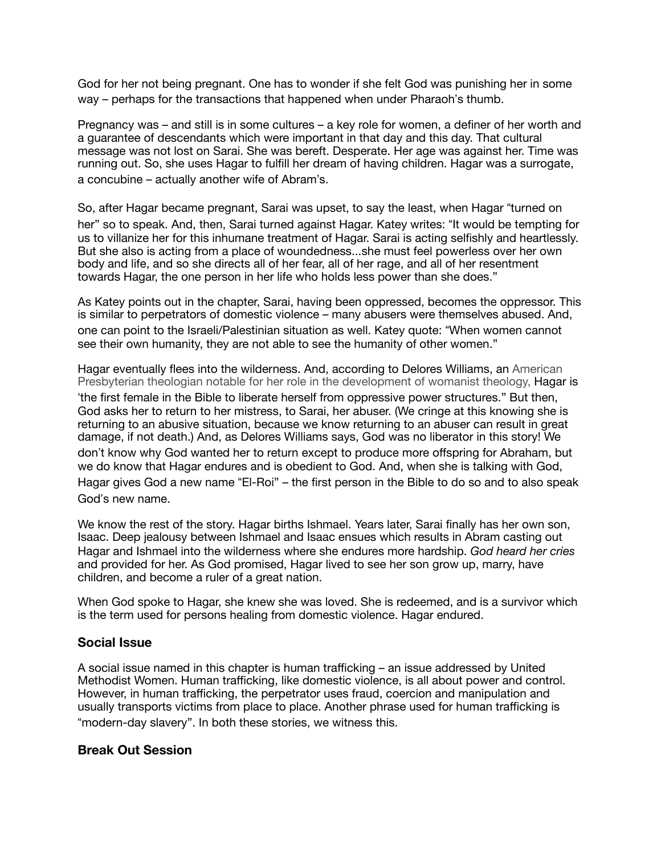God for her not being pregnant. One has to wonder if she felt God was punishing her in some way – perhaps for the transactions that happened when under Pharaoh"s thumb.

Pregnancy was – and still is in some cultures – a key role for women, a definer of her worth and a guarantee of descendants which were important in that day and this day. That cultural message was not lost on Sarai. She was bereft. Desperate. Her age was against her. Time was running out. So, she uses Hagar to fulfill her dream of having children. Hagar was a surrogate, a concubine – actually another wife of Abram"s.

So, after Hagar became pregnant, Sarai was upset, to say the least, when Hagar "turned on her" so to speak. And, then, Sarai turned against Hagar. Katey writes: "It would be tempting for us to villanize her for this inhumane treatment of Hagar. Sarai is acting selfishly and heartlessly. But she also is acting from a place of woundedness...she must feel powerless over her own body and life, and so she directs all of her fear, all of her rage, and all of her resentment towards Hagar, the one person in her life who holds less power than she does."

As Katey points out in the chapter, Sarai, having been oppressed, becomes the oppressor. This is similar to perpetrators of domestic violence – many abusers were themselves abused. And, one can point to the Israeli/Palestinian situation as well. Katey quote: !When women cannot see their own humanity, they are not able to see the humanity of other women."

Hagar eventually flees into the wilderness. And, according to Delores Williams, an American Presbyterian theologian notable for her role in the development of womanist theology, Hagar is the first female in the Bible to liberate herself from oppressive power structures." But then, God asks her to return to her mistress, to Sarai, her abuser. (We cringe at this knowing she is returning to an abusive situation, because we know returning to an abuser can result in great damage, if not death.) And, as Delores Williams says, God was no liberator in this story! We don"t know why God wanted her to return except to produce more offspring for Abraham, but we do know that Hagar endures and is obedient to God. And, when she is talking with God, Hagar gives God a new name "El-Roi" – the first person in the Bible to do so and to also speak God"s new name.

We know the rest of the story. Hagar births Ishmael. Years later, Sarai finally has her own son, Isaac. Deep jealousy between Ishmael and Isaac ensues which results in Abram casting out Hagar and Ishmael into the wilderness where she endures more hardship. *God heard her cries*  and provided for her. As God promised, Hagar lived to see her son grow up, marry, have children, and become a ruler of a great nation.

When God spoke to Hagar, she knew she was loved. She is redeemed, and is a survivor which is the term used for persons healing from domestic violence. Hagar endured.

# **Social Issue**

A social issue named in this chapter is human trafficking – an issue addressed by United Methodist Women. Human trafficking, like domestic violence, is all about power and control. However, in human trafficking, the perpetrator uses fraud, coercion and manipulation and usually transports victims from place to place. Another phrase used for human trafficking is "modern-day slavery". In both these stories, we witness this.

## **Break Out Session**